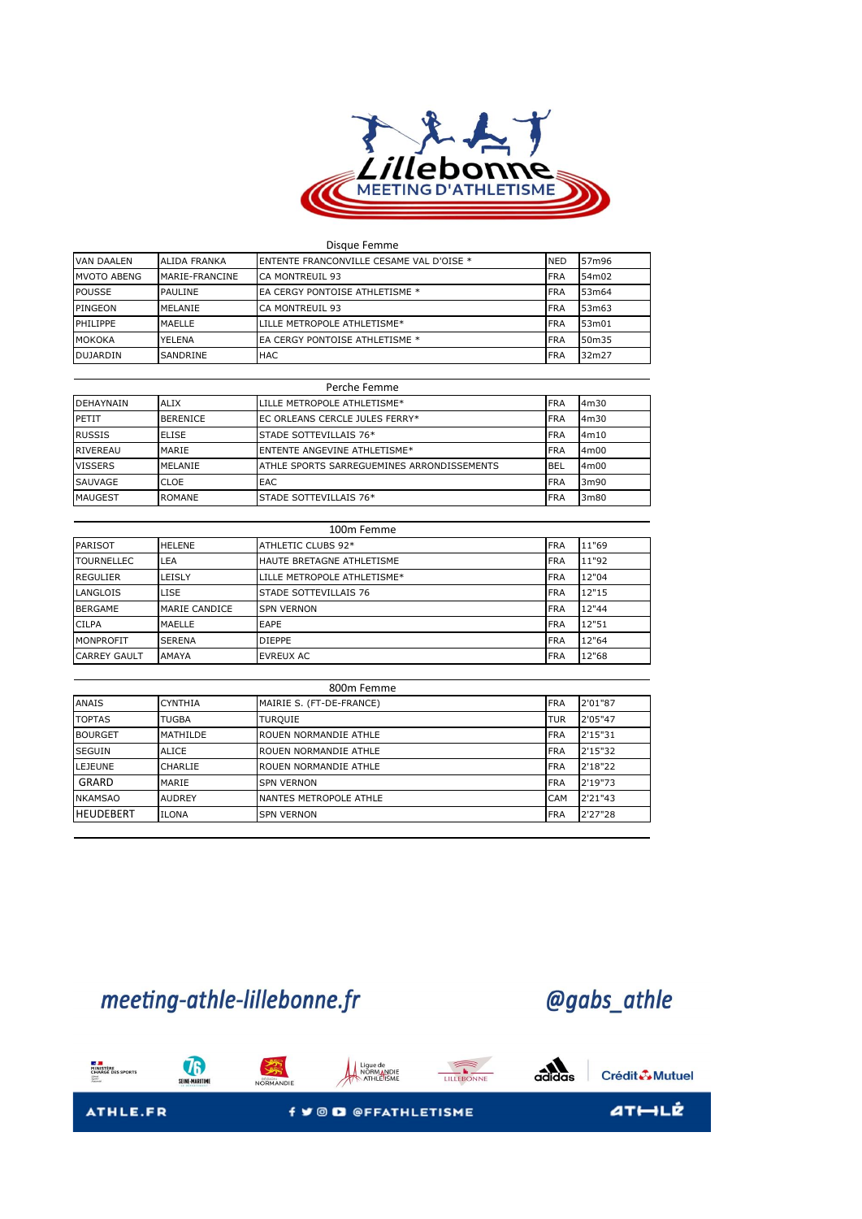

| Disque Femme    |                     |                                          |            |       |  |
|-----------------|---------------------|------------------------------------------|------------|-------|--|
| VAN DAALEN      | <b>ALIDA FRANKA</b> | ENTENTE FRANCONVILLE CESAME VAL D'OISE * | <b>NED</b> | 57m96 |  |
| MVOTO ABENG     | MARIE-FRANCINE      | <b>CA MONTREUIL 93</b>                   | <b>FRA</b> | 54m02 |  |
| <b>POUSSE</b>   | PAULINE             | EA CERGY PONTOISE ATHLETISME *           | <b>FRA</b> | 53m64 |  |
| PINGEON         | MELANIE             | CA MONTREUIL 93                          | <b>FRA</b> | 53m63 |  |
| PHILIPPE        | MAELLE              | LILLE METROPOLE ATHLETISME*              | <b>FRA</b> | 53m01 |  |
| <b>MOKOKA</b>   | YELENA              | EA CERGY PONTOISE ATHLETISME *           | <b>FRA</b> | 50m35 |  |
| <b>DUJARDIN</b> | SANDRINE            | <b>HAC</b>                               | <b>FRA</b> | 32m27 |  |

| Perche Femme     |                 |                                            |            |      |  |
|------------------|-----------------|--------------------------------------------|------------|------|--|
| <b>DEHAYNAIN</b> | <b>ALIX</b>     | LILLE METROPOLE ATHLETISME*                | <b>FRA</b> | 4m30 |  |
| <b>PETIT</b>     | <b>BERENICE</b> | EC ORLEANS CERCLE JULES FERRY*             | <b>FRA</b> | 4m30 |  |
| <b>RUSSIS</b>    | <b>ELISE</b>    | STADE SOTTEVILLAIS 76*                     | <b>FRA</b> | 4m10 |  |
| RIVEREAU         | MARIE           | <b>ENTENTE ANGEVINE ATHLETISME*</b>        | <b>FRA</b> | 4m00 |  |
| <b>VISSERS</b>   | MELANIE         | ATHLE SPORTS SARREGUEMINES ARRONDISSEMENTS | <b>BEL</b> | 4m00 |  |
| SAUVAGE          | CLOE            | <b>EAC</b>                                 | <b>FRA</b> | 3m90 |  |
| <b>MAUGEST</b>   | <b>ROMANE</b>   | STADE SOTTEVILLAIS 76*                     | <b>FRA</b> | 3m80 |  |

| 100m Femme          |                      |                             |            |       |  |
|---------------------|----------------------|-----------------------------|------------|-------|--|
| <b>PARISOT</b>      | <b>HELENE</b>        | ATHLETIC CLUBS 92*          | <b>FRA</b> | 11"69 |  |
| <b>TOURNELLEC</b>   | LEA                  | HAUTE BRETAGNE ATHLETISME   | <b>FRA</b> | 11"92 |  |
| <b>REGULIER</b>     | LEISLY               | LILLE METROPOLE ATHLETISME* | <b>FRA</b> | 12"04 |  |
| LANGLOIS            | LISE                 | STADE SOTTEVILLAIS 76       | <b>FRA</b> | 12"15 |  |
| <b>BERGAME</b>      | <b>MARIE CANDICE</b> | <b>SPN VERNON</b>           | <b>FRA</b> | 12"44 |  |
| <b>CILPA</b>        | MAELLE               | EAPE                        | <b>FRA</b> | 12"51 |  |
| MONPROFIT           | <b>SERENA</b>        | <b>DIEPPE</b>               | <b>FRA</b> | 12"64 |  |
| <b>CARREY GAULT</b> | AMAYA                | <b>EVREUX AC</b>            | <b>FRA</b> | 12"68 |  |

| 800m Femme       |                |                              |            |         |  |
|------------------|----------------|------------------------------|------------|---------|--|
| <b>ANAIS</b>     | <b>CYNTHIA</b> | MAIRIE S. (FT-DE-FRANCE)     | <b>FRA</b> | 2'01"87 |  |
| <b>TOPTAS</b>    | <b>TUGBA</b>   | <b>TURQUIE</b>               | TUR        | 2'05"47 |  |
| <b>BOURGET</b>   | MATHILDE       | <b>ROUEN NORMANDIE ATHLE</b> | <b>FRA</b> | 2'15"31 |  |
| <b>SEGUIN</b>    | <b>ALICE</b>   | ROUEN NORMANDIE ATHLE        | <b>FRA</b> | 2'15"32 |  |
| <b>LEJEUNE</b>   | CHARLIE        | <b>ROUEN NORMANDIE ATHLE</b> | <b>FRA</b> | 2'18"22 |  |
| GRARD            | MARIE          | <b>SPN VERNON</b>            | <b>FRA</b> | 2'19"73 |  |
| <b>NKAMSAO</b>   | <b>AUDREY</b>  | NANTES METROPOLE ATHLE       | <b>CAM</b> | 2'21"43 |  |
| <b>HEUDEBERT</b> | <b>ILONA</b>   | <b>SPN VERNON</b>            | <b>FRA</b> | 2'27"28 |  |

meeting-athle-lillebonne.fr

## @gabs\_athle